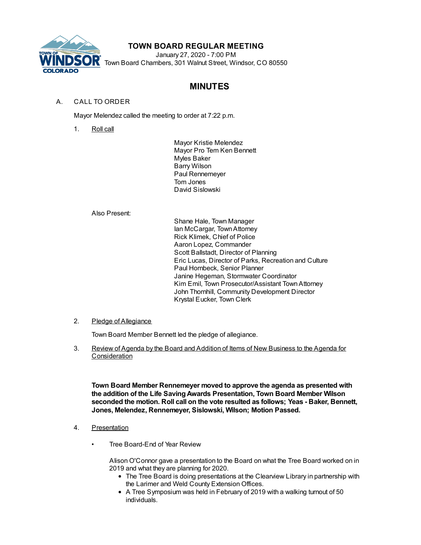

## **TOWN BOARD REGULAR MEETING**

January 27, 2020 - 7:00 PM Town Board Chambers, 301 Walnut Street, Windsor, CO 80550

# **MINUTES**

## A. CALL TO ORDER

Mayor Melendez called the meeting to order at 7:22 p.m.

1. Roll call

Mayor Kristie Melendez Mayor Pro Tem Ken Bennett Myles Baker Barry Wilson Paul Rennemeyer Tom Jones David Sislowski

Also Present:

Shane Hale, Town Manager Ian McCargar, TownAttorney Rick Klimek, Chief of Police Aaron Lopez, Commander Scott Ballstadt, Director of Planning Eric Lucas, Director of Parks, Recreation and Culture Paul Hornbeck, Senior Planner Janine Hegeman, Stormwater Coordinator Kim Emil, Town Prosecutor/Assistant TownAttorney John Thornhill, Community Development Director Krystal Eucker, Town Clerk

### 2. Pledge of Allegiance

Town Board Member Bennett led the pledge of allegiance.

3. Review of Agenda by the Board and Addition of Items of New Business to the Agenda for **Consideration** 

**Town Board Member Rennemeyer moved to approve the agenda as presented with the addition of the Life SavingAwards Presentation, Town Board Member Wilson seconded the motion. Roll call on the vote resulted as follows; Yeas - Baker, Bennett, Jones, Melendez, Rennemeyer, Sislowski, Wilson; Motion Passed.**

- 4. Presentation
	- Tree Board-End of Year Review

Alison O'Connor gave a presentation to the Board on what the Tree Board worked on in 2019 and what they are planning for 2020.

- The Tree Board is doing presentations at the Clearview Library in partnership with the Larimer and Weld County Extension Offices.
- A Tree Symposium was held in February of 2019 with a walking turnout of 50 individuals.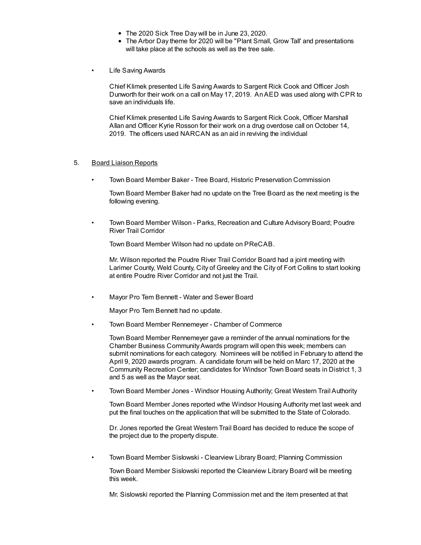- The 2020 Sick Tree Day will be in June 23, 2020.
- The Arbor Day theme for 2020 will be "Plant Small, Grow Tall' and presentations will take place at the schools as well as the tree sale.
- Life Saving Awards

Chief Klimek presented Life Saving Awards to Sargent Rick Cook and Officer Josh Dunworth for their work on a call on May 17, 2019. AnAED was used along with CPR to save an individuals life.

Chief Klimek presented Life Saving Awards to Sargent Rick Cook, Officer Marshall Allan and Officer Kyrie Rosson for their work on a drug overdose call on October 14, 2019. The officers used NARCAN as an aid in reviving the individual

#### 5. Board Liaison Reports

• Town Board Member Baker - Tree Board, Historic Preservation Commission

Town Board Member Baker had no update on the Tree Board as the next meeting is the following evening.

• Town Board Member Wilson - Parks, Recreation and Culture Advisory Board; Poudre River Trail Corridor

Town Board Member Wilson had no update on PReCAB.

Mr. Wilson reported the Poudre River Trail Corridor Board had a joint meeting with Larimer County, Weld County, City of Greeley and the City of Fort Collins to start looking at entire Poudre River Corridor and not just the Trail.

• Mayor Pro Tem Bennett - Water and Sewer Board

Mayor Pro Tem Bennett had no update.

• Town Board Member Rennemeyer - Chamber of Commerce

Town Board Member Rennemeyer gave a reminder of the annual nominations for the Chamber Business CommunityAwards program will open this week; members can submit nominations for each category. Nominees will be notified in February to attend the April 9, 2020 awards program. A candidate forum will be held on Marc 17, 2020 at the Community Recreation Center; candidates for Windsor Town Board seats in District 1, 3 and 5 as well as the Mayor seat.

• Town Board Member Jones - Windsor Housing Authority; Great Western Trail Authority

Town Board Member Jones reported wthe Windsor Housing Authority met last week and put the final touches on the application that will be submitted to the State of Colorado.

Dr. Jones reported the Great Western Trail Board has decided to reduce the scope of the project due to the property dispute.

• Town Board Member Sislowski - Clearview Library Board; Planning Commission

Town Board Member Sislowski reported the Clearview Library Board will be meeting this week.

Mr. Sislowski reported the Planning Commission met and the item presented at that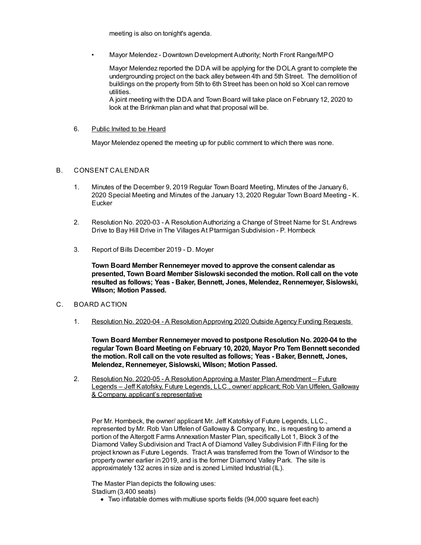meeting is also on tonight's agenda.

• Mayor Melendez - Downtown Development Authority; North Front Range/MPO

Mayor Melendez reported the DDA will be applying for the DOLA grant to complete the undergrounding project on the back alley between 4th and 5th Street. The demolition of buildings on the property from 5th to 6th Street has been on hold so Xcel can remove utilities.

A joint meeting with the DDA and Town Board will take place on February 12, 2020 to look at the Brinkman plan and what that proposal will be.

#### 6. Public Invited to be Heard

Mayor Melendez opened the meeting up for public comment to which there was none.

#### B. CONSENT CALENDAR

- 1. Minutes of the December 9, 2019 Regular Town Board Meeting, Minutes of the January 6, 2020 Special Meeting and Minutes of the January 13, 2020 Regular Town Board Meeting - K. **Eucker**
- 2. Resolution No. 2020-03 A ResolutionAuthorizing a Change of Street Name for St. Andrews Drive to Bay Hill Drive in The Villages At Ptarmigan Subdivision - P. Hornbeck
- 3. Report of Bills December 2019 D. Moyer

**Town Board Member Rennemeyer moved to approve the consent calendar as presented, Town Board Member Sislowski seconded the motion. Roll call on the vote resulted as follows; Yeas - Baker, Bennett, Jones, Melendez, Rennemeyer, Sislowski, Wilson; Motion Passed.**

- C. BOARD ACTION
	- 1. Resolution No. 2020-04 A ResolutionApproving 2020 Outside Agency Funding Requests

**Town Board Member Rennemeyer moved to postpone Resolution No. 2020-04 to the regular Town Board Meeting on February 10, 2020, Mayor Pro Tem Bennett seconded the motion. Roll call on the vote resulted as follows; Yeas - Baker, Bennett, Jones, Melendez, Rennemeyer, Sislowski, Wilson; Motion Passed.**

2. Resolution No. 2020-05 - A ResolutionApproving a Master PlanAmendment – Future Legends – Jeff Katofsky, Future Legends, LLC., owner/ applicant; Rob Van Uffelen, Galloway & Company, applicant's representative

Per Mr. Hornbeck, the owner/ applicant Mr. Jeff Katofsky of Future Legends, LLC., represented by Mr. Rob Van Uffelen of Galloway & Company, Inc., is requesting to amend a portion of the Altergott Farms Annexation Master Plan, specifically Lot 1, Block 3 of the Diamond Valley Subdivision and Tract A of Diamond Valley Subdivision Fifth Filing for the project known as Future Legends. Tract A was transferred from the Town of Windsor to the property owner earlier in 2019, and is the former Diamond Valley Park. The site is approximately 132 acres in size and is zoned Limited Industrial (IL).

The Master Plan depicts the following uses: Stadium (3,400 seats)

Two inflatable domes with multiuse sports fields (94,000 square feet each)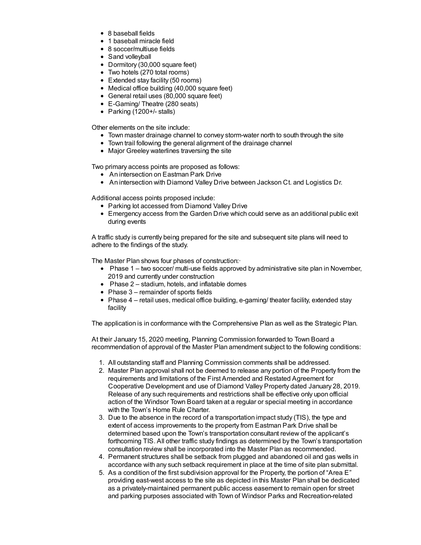- 8 baseball fields
- 1 baseball miracle field
- 8 soccer/multiuse fields
- Sand volleyball
- Dormitory (30,000 square feet)
- Two hotels (270 total rooms)
- Extended stay facility (50 rooms)
- Medical office building (40,000 square feet)
- General retail uses (80,000 square feet)
- E-Gaming/ Theatre (280 seats)
- $\bullet$  Parking (1200+/- stalls)

Other elements on the site include:

- Town master drainage channel to convey storm-water north to south through the site
- Town trail following the general alignment of the drainage channel
- Major Greeley waterlines traversing the site

Two primary access points are proposed as follows:

- An intersection on Eastman Park Drive
- An intersection with Diamond Valley Drive between Jackson Ct. and Logistics Dr.

Additional access points proposed include:

- Parking lot accessed from Diamond Valley Drive
- Emergency access from the Garden Drive which could serve as an additional public exit during events

A traffic study is currently being prepared for the site and subsequent site plans will need to adhere to the findings of the study.

The Master Plan shows four phases of construction:·

- $\bullet$  Phase 1 two soccer/ multi-use fields approved by administrative site plan in November, 2019 and currently under construction
- Phase 2 stadium, hotels, and inflatable domes
- $\bullet$  Phase  $3$  remainder of sports fields
- Phase 4 retail uses, medical office building, e-gaming/ theater facility, extended stay facility

The application is in conformance with the Comprehensive Plan as well as the Strategic Plan.

At their January 15, 2020 meeting, Planning Commission forwarded to Town Board a recommendation of approval of the Master Plan amendment subject to the following conditions:

- 1. All outstanding staff and Planning Commission comments shall be addressed.
- 2. Master Plan approval shall not be deemed to release any portion of the Property from the requirements and limitations of the First Amended and Restated Agreement for Cooperative Development and use of Diamond Valley Property dated January 28, 2019. Release of any such requirements and restrictions shall be effective only upon official action of the Windsor Town Board taken at a regular or special meeting in accordance with the Town's Home Rule Charter.
- 3. Due to the absence in the record of a transportation impact study (TIS), the type and extent of access improvements to the property from Eastman Park Drive shall be determined based upon the Town's transportation consultant review of the applicant's forthcoming TIS. All other traffic study findings as determined by the Town's transportation consultation review shall be incorporated into the Master Plan as recommended.
- 4. Permanent structures shall be setback from plugged and abandoned oil and gas wells in accordance with any such setback requirement in place at the time of site plan submittal.
- 5. As a condition of the first subdivision approval for the Property, the portion of "Area E" providing east-west access to the site as depicted in this Master Plan shall be dedicated as a privately-maintained permanent public access easement to remain open for street and parking purposes associated with Town of Windsor Parks and Recreation-related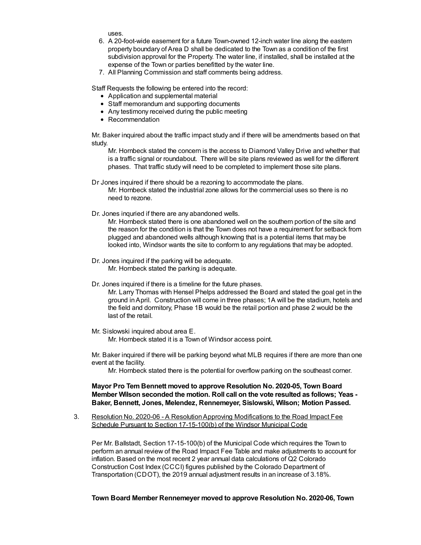uses.

- 6. A 20-foot-wide easement for a future Town-owned 12-inch water line along the eastern property boundary of Area D shall be dedicated to the Town as a condition of the first subdivision approval for the Property. The water line, if installed, shall be installed at the expense of the Town or parties benefitted by the water line.
- 7. All Planning Commission and staff comments being address.

Staff Requests the following be entered into the record:

- Application and supplemental material
- Staff memorandum and supporting documents
- Any testimony received during the public meeting
- Recommendation

Mr. Baker inquired about the traffic impact study and if there will be amendments based on that study.

Mr. Hornbeck stated the concern is the access to Diamond Valley Drive and whether that is a traffic signal or roundabout. There will be site plans reviewed as well for the different phases. That traffic study will need to be completed to implement those site plans.

Dr Jones inquired if there should be a rezoning to accommodate the plans. Mr. Hornbeck stated the industrial zone allows for the commercial uses so there is no need to rezone.

Dr. Jones inquried if there are any abandoned wells.

Mr. Hornbeck stated there is one abandoned well on the southern portion of the site and the reason for the condition is that the Town does not have a requirement for setback from plugged and abandoned wells although knowing that is a potential items that may be looked into, Windsor wants the site to conform to any regulations that may be adopted.

- Dr. Jones inquired if the parking will be adequate. Mr. Hornbeck stated the parking is adequate.
- Dr. Jones inquired if there is a timeline for the future phases.

Mr. Larry Thomas with Hensel Phelps addressed the Board and stated the goal get in the ground inApril. Construction will come in three phases; 1A will be the stadium, hotels and the field and dormitory, Phase 1B would be the retail portion and phase 2 would be the last of the retail.

Mr. Sislowski inquired about area E. Mr. Hornbeck stated it is a Town of Windsor access point.

Mr. Baker inquired if there will be parking beyond what MLB requires if there are more than one event at the facility.

Mr. Hornbeck stated there is the potential for overflow parking on the southeast corner.

**Mayor Pro Tem Bennett moved to approve Resolution No. 2020-05, Town Board Member Wilson seconded the motion. Roll call on the vote resulted as follows; Yeas - Baker, Bennett, Jones, Melendez, Rennemeyer, Sislowski, Wilson; Motion Passed.**

3. Resolution No. 2020-06 - A Resolution Approving Modifications to the Road Impact Fee Schedule Pursuant to Section 17-15-100(b) of the Windsor Municipal Code

Per Mr. Ballstadt, Section 17-15-100(b) of the Municipal Code which requires the Town to perform an annual review of the Road Impact Fee Table and make adjustments to account for inflation. Based on the most recent 2 year annual data calculations of Q2 Colorado Construction Cost Index (CCCI) figures published by the Colorado Department of Transportation (CDOT), the 2019 annual adjustment results in an increase of 3.18%.

#### **Town Board Member Rennemeyer moved to approve Resolution No. 2020-06, Town**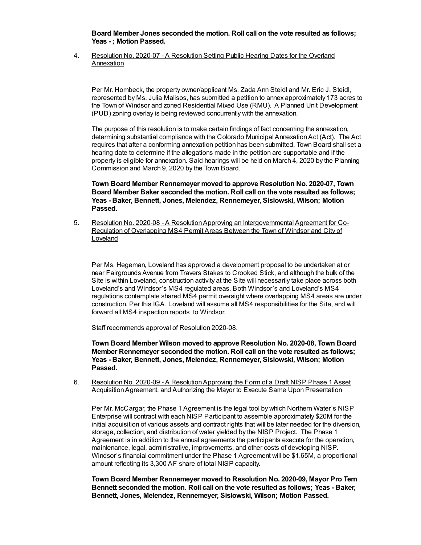**Board Member Jones seconded the motion. Roll call on the vote resulted as follows; Yeas - ; Motion Passed.**

4. Resolution No. 2020-07 - A Resolution Setting Public Hearing Dates for the Overland Annexation

Per Mr. Hornbeck, the property owner/applicant Ms. Zada Ann Steidl and Mr. Eric J. Steidl, represented by Ms. Julia Malisos, has submitted a petition to annex approximately 173 acres to the Town of Windsor and zoned Residential Mixed Use (RMU). A Planned Unit Development (PUD) zoning overlay is being reviewed concurrently with the annexation.

The purpose of this resolution is to make certain findings of fact concerning the annexation, determining substantial compliance with the Colorado Municipal AnnexationAct (Act). The Act requires that after a conforming annexation petition has been submitted, Town Board shall set a hearing date to determine if the allegations made in the petition are supportable and if the property is eligible for annexation. Said hearings will be held on March 4, 2020 by the Planning Commission and March 9, 2020 by the Town Board.

**Town Board Member Rennemeyer moved to approve Resolution No. 2020-07, Town Board Member Baker seconded the motion. Roll call on the vote resulted as follows; Yeas - Baker, Bennett, Jones, Melendez, Rennemeyer, Sislowski, Wilson; Motion Passed.**

5. Resolution No. 2020-08 - A Resolution Approving an Intergovernmental Agreement for Co-Regulation of Overlapping MS4 Permit Areas Between the Town of Windsor and City of **Loveland** 

Per Ms. Hegeman, Loveland has approved a development proposal to be undertaken at or near Fairgrounds Avenue from Travers Stakes to Crooked Stick, and although the bulk of the Site is within Loveland, construction activity at the Site will necessarily take place across both Loveland's and Windsor's MS4 regulated areas. Both Windsor's and Loveland's MS4 regulations contemplate shared MS4 permit oversight where overlapping MS4 areas are under construction. Per this IGA, Loveland will assume all MS4 responsibilities for the Site, and will forward all MS4 inspection reports to Windsor.

Staff recommends approval of Resolution 2020-08.

**Town Board Member Wilson moved to approve Resolution No. 2020-08, Town Board Member Rennemeyer seconded the motion. Roll call on the vote resulted as follows; Yeas - Baker, Bennett, Jones, Melendez, Rennemeyer, Sislowski, Wilson; Motion Passed.**

6. Resolution No. 2020-09 - A ResolutionApproving the Form of a Draft NISP Phase 1 Asset Acquisition Agreement, and Authorizing the Mayor to Execute Same Upon Presentation

Per Mr. McCargar, the Phase 1 Agreement is the legal tool by which Northern Water's NISP Enterprise will contract with each NISP Participant to assemble approximately \$20M for the initial acquisition of various assets and contract rights that will be later needed for the diversion, storage, collection, and distribution of water yielded by the NISP Project. The Phase 1 Agreement is in addition to the annual agreements the participants execute for the operation, maintenance, legal, administrative, improvements, and other costs of developing NISP. Windsor's financial commitment under the Phase 1 Agreement will be \$1.65M, a proportional amount reflecting its 3,300 AF share of total NISP capacity.

**Town Board Member Rennemeyer moved to Resolution No. 2020-09, Mayor Pro Tem Bennett seconded the motion. Roll call on the vote resulted as follows; Yeas - Baker, Bennett, Jones, Melendez, Rennemeyer, Sislowski, Wilson; Motion Passed.**